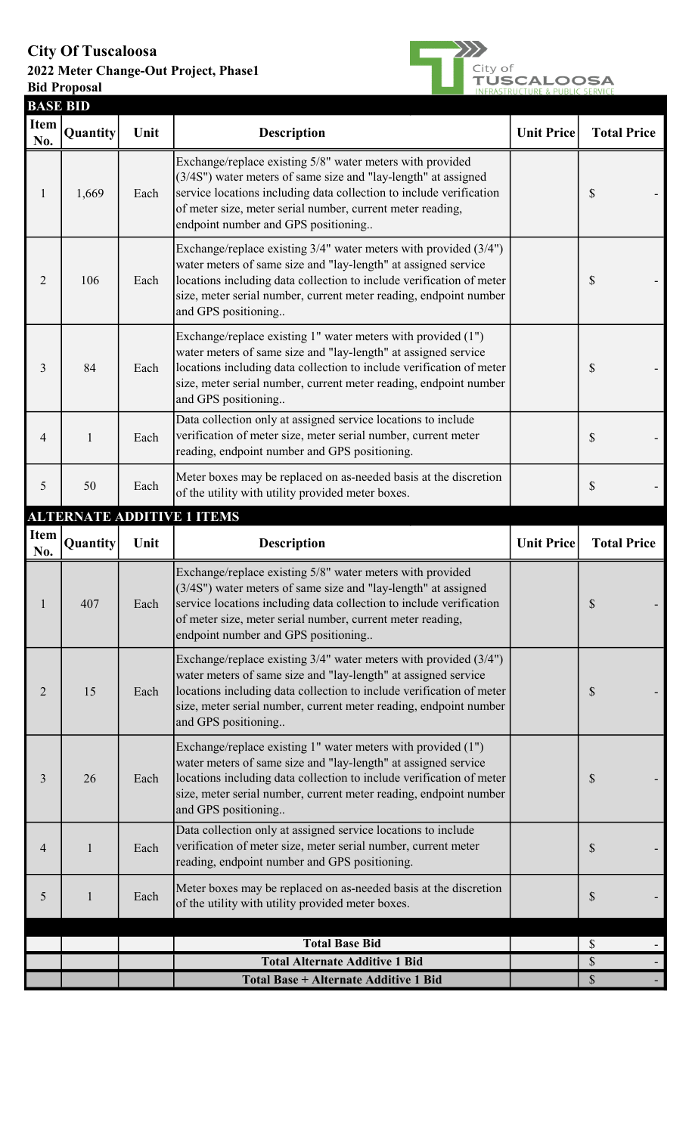## City Of Tuscaloosa

## 2022 Meter Change-Out Project, Phase1 Bid Proposal



| <b>BASE BID</b>    |                 |      |                                                                                                                                                                                                                                                                                                         |                   |                           |
|--------------------|-----------------|------|---------------------------------------------------------------------------------------------------------------------------------------------------------------------------------------------------------------------------------------------------------------------------------------------------------|-------------------|---------------------------|
| <b>Item</b><br>No. | <b>Quantity</b> | Unit | <b>Description</b>                                                                                                                                                                                                                                                                                      | <b>Unit Price</b> | <b>Total Price</b>        |
| 1                  | 1,669           | Each | Exchange/replace existing 5/8" water meters with provided<br>(3/4S") water meters of same size and "lay-length" at assigned<br>service locations including data collection to include verification<br>of meter size, meter serial number, current meter reading,<br>endpoint number and GPS positioning |                   | \$                        |
| 2                  | 106             | Each | Exchange/replace existing 3/4" water meters with provided (3/4")<br>water meters of same size and "lay-length" at assigned service<br>locations including data collection to include verification of meter<br>size, meter serial number, current meter reading, endpoint number<br>and GPS positioning  |                   | \$                        |
| 3                  | 84              | Each | Exchange/replace existing 1" water meters with provided (1")<br>water meters of same size and "lay-length" at assigned service<br>locations including data collection to include verification of meter<br>size, meter serial number, current meter reading, endpoint number<br>and GPS positioning      |                   | \$                        |
| 4                  | $\mathbf{1}$    | Each | Data collection only at assigned service locations to include<br>verification of meter size, meter serial number, current meter<br>reading, endpoint number and GPS positioning.                                                                                                                        |                   | \$                        |
| 5                  | 50              | Each | Meter boxes may be replaced on as-needed basis at the discretion<br>of the utility with utility provided meter boxes.                                                                                                                                                                                   |                   | \$                        |
|                    |                 |      | <b>ALTERNATE ADDITIVE 1 ITEMS</b>                                                                                                                                                                                                                                                                       |                   |                           |
| Item<br>No.        | Quantity        | Unit | <b>Description</b>                                                                                                                                                                                                                                                                                      | <b>Unit Price</b> | <b>Total Price</b>        |
|                    | 407             | Each | Exchange/replace existing 5/8" water meters with provided<br>(3/4S") water meters of same size and "lay-length" at assigned<br>service locations including data collection to include verification<br>of meter size, meter serial number, current meter reading,<br>endpoint number and GPS positioning |                   | \$                        |
| 2                  | 15              | Each | Exchange/replace existing 3/4" water meters with provided (3/4")<br>water meters of same size and "lay-length" at assigned service<br>locations including data collection to include verification of meter<br>size, meter serial number, current meter reading, endpoint number<br>and GPS positioning  |                   | \$                        |
| 3                  | 26              | Each | Exchange/replace existing 1" water meters with provided (1")<br>water meters of same size and "lay-length" at assigned service<br>locations including data collection to include verification of meter<br>size, meter serial number, current meter reading, endpoint number<br>and GPS positioning      |                   | $\mathbb{S}$              |
| 4                  | $\mathbf{1}$    | Each | Data collection only at assigned service locations to include<br>verification of meter size, meter serial number, current meter<br>reading, endpoint number and GPS positioning.                                                                                                                        |                   | $\boldsymbol{\mathsf{S}}$ |
| 5                  | $\mathbf{1}$    | Each | Meter boxes may be replaced on as-needed basis at the discretion<br>of the utility with utility provided meter boxes.                                                                                                                                                                                   |                   | $\boldsymbol{\mathsf{S}}$ |
|                    |                 |      | <b>Total Base Bid</b>                                                                                                                                                                                                                                                                                   |                   | \$                        |
|                    |                 |      | <b>Total Alternate Additive 1 Bid</b>                                                                                                                                                                                                                                                                   |                   | $\mathcal{S}$             |
|                    |                 |      | Total Base + Alternate Additive 1 Bid                                                                                                                                                                                                                                                                   |                   | $\mathbb S$               |